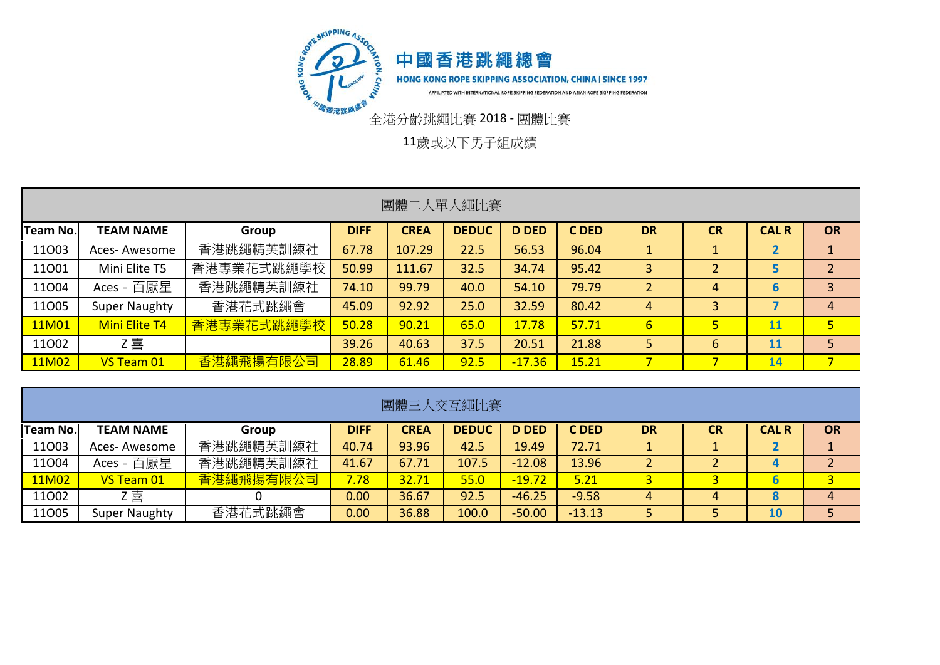

11歲或以下男子組成績

| 團體二人單人繩比賽       |                      |            |             |             |              |              |       |                 |           |              |                |  |  |
|-----------------|----------------------|------------|-------------|-------------|--------------|--------------|-------|-----------------|-----------|--------------|----------------|--|--|
| <b>Team No.</b> | <b>TEAM NAME</b>     | Group      | <b>DIFF</b> | <b>CREA</b> | <b>DEDUC</b> | <b>D DED</b> | C DED | <b>DR</b>       | <b>CR</b> | <b>CAL R</b> | <b>OR</b>      |  |  |
| 11003           | Aces-Awesome         | 香港跳繩精英訓練社  | 67.78       | 107.29      | 22.5         | 56.53        | 96.04 |                 |           | ◢            |                |  |  |
| 11001           | Mini Elite T5        | 香港專業花式跳繩學校 | 50.99       | 111.67      | 32.5         | 34.74        | 95.42 | 3               |           | 5            |                |  |  |
| 11004           | Aces - 百厭星           | 香港跳繩精英訓練社  | 74.10       | 99.79       | 40.0         | 54.10        | 79.79 |                 | 4         | 6            |                |  |  |
| 11005           | <b>Super Naughty</b> | 香港花式跳繩會    | 45.09       | 92.92       | 25.0         | 32.59        | 80.42 | 4               | 3         |              | 4              |  |  |
| 11M01           | <b>Mini Elite T4</b> | 香港專業花式跳繩學校 | 50.28       | 90.21       | 65.0         | 17.78        | 57.71 | $6\overline{6}$ | 5         | 11           | 5 <sup>1</sup> |  |  |
| 11002           | Z喜                   |            | 39.26       | 40.63       | 37.5         | 20.51        | 21.88 | 5               | 6         | <b>11</b>    | 5              |  |  |
| 11M02           | VS Team 01           | 香港繩飛揚有限公司  | 28.89       | 61.46       | 92.5         | $-17.36$     | 15.21 |                 |           | 14           | 7 <sup>1</sup> |  |  |

| 團體三人交互繩比賽       |                                                                                                                                                         |           |       |       |       |          |          |   |   |           |                |  |  |  |  |
|-----------------|---------------------------------------------------------------------------------------------------------------------------------------------------------|-----------|-------|-------|-------|----------|----------|---|---|-----------|----------------|--|--|--|--|
| <b>Team No.</b> | <b>OR</b><br><b>DEDUC</b><br><b>CREA</b><br><b>D DED</b><br>C DED<br><b>DR</b><br><b>CR</b><br><b>CAL R</b><br><b>TEAM NAME</b><br><b>DIFF</b><br>Group |           |       |       |       |          |          |   |   |           |                |  |  |  |  |
| 11003           | Aces-Awesome                                                                                                                                            | 香港跳繩精英訓練社 | 40.74 | 93.96 | 42.5  | 19.49    | 72.71    |   |   |           |                |  |  |  |  |
| 11004           | Aces - 百厭星                                                                                                                                              | 香港跳繩精英訓練社 | 41.67 | 67.71 | 107.5 | $-12.08$ | 13.96    |   |   | 4         |                |  |  |  |  |
| 11M02           | VS Team 01                                                                                                                                              | 香港繩飛揚有限公司 | 7.78  | 32.71 | 55.0  | $-19.72$ | 5.21     |   |   |           | 3 <sup>1</sup> |  |  |  |  |
| 11002           | Ζ喜                                                                                                                                                      |           | 0.00  | 36.67 | 92.5  | $-46.25$ | $-9.58$  | 4 | 4 | $\bullet$ | 4              |  |  |  |  |
| 11005           | <b>Super Naughty</b>                                                                                                                                    | 香港花式跳繩會   | 0.00  | 36.88 | 100.0 | $-50.00$ | $-13.13$ |   |   | <b>10</b> |                |  |  |  |  |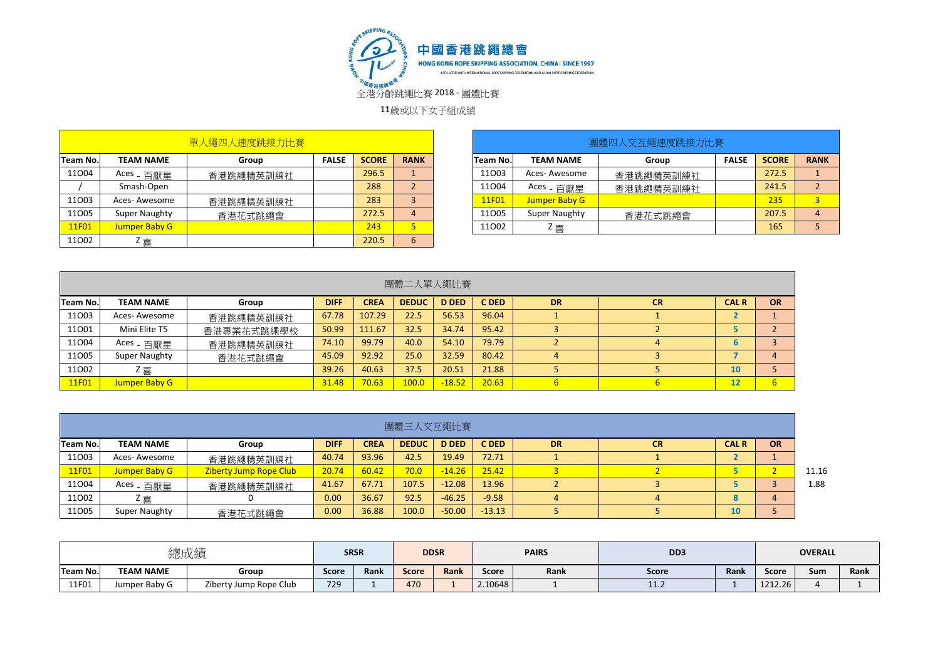

11歲或以下女子組成績

|           |                       | 單人繩四人速度跳接力比賽 |              |              |                 |
|-----------|-----------------------|--------------|--------------|--------------|-----------------|
| Team No.l | <b>TEAM NAME</b>      | Group        | <b>FALSE</b> | <b>SCORE</b> | <b>RANK</b>     |
| 11004     | Aces <sub>-</sub> 百厭星 | 香港跳繩精英訓練社    |              | 296.5        |                 |
|           | Smash-Open            |              |              | 288          | $\overline{2}$  |
| 11003     | Aces-Awesome          | 香港跳繩精英訓練社    |              | 283          | 3               |
| 11005     | <b>Super Naughty</b>  | 香港花式跳繩會      |              | 272.5        | $\overline{4}$  |
| 11F01     | <b>Jumper Baby G</b>  |              |              | 243          | 5               |
| 11002     | Z 喜                   |              |              | 220.5        | $6\phantom{1}6$ |

| <b>TEAM NAME</b>      | Group     | <b>FALSE</b> | <b>SCORE</b> | <b>RANK</b> | <b>Team No.</b> | <b>TEAM NAME</b>      | Group     | <b>FALSE</b> | <b>SCORE</b>   | <b>RANK</b> |
|-----------------------|-----------|--------------|--------------|-------------|-----------------|-----------------------|-----------|--------------|----------------|-------------|
| Aces <sub>-</sub> 百厭星 | 香港跳繩精英訓練社 |              | 296.5        |             | 11003           | Aces- Awesome         | 香港跳繩精英訓練社 |              | 272.5          |             |
| Smash-Open            |           |              | 288          |             | 11004           | Aces <sub>-</sub> 百厭星 | 香港跳繩精英訓練社 |              | 241.5          |             |
| Aces-Awesome          | 香港跳繩精英訓練社 |              | 283          |             | 11F01           | Jumper Baby G         |           |              | 235            | 3           |
| Super Naughty         | 香港花式跳繩會   |              | 272.5        |             | 11005           | Super Naughty         | 香港花式跳繩會   |              | 207.5          | 4           |
| Jumper Baby G         |           |              | 243          |             | 11002           | Ζ喜                    |           |              | 165            |             |
|                       | Team No.l | 軍人繩四人速度跳接力比賽 |              |             |                 |                       |           |              | 團體四人交互繩速度跳接力比賽 |             |

|          | 團體二人單人繩比賽             |            |             |             |              |              |       |           |           |              |                  |  |  |  |
|----------|-----------------------|------------|-------------|-------------|--------------|--------------|-------|-----------|-----------|--------------|------------------|--|--|--|
| Team No. | <b>TEAM NAME</b>      | Group      | <b>DIFF</b> | <b>CREA</b> | <b>DEDUC</b> | <b>D DED</b> | C DED | <b>DR</b> | <b>CR</b> | <b>CAL R</b> | <b>OR</b>        |  |  |  |
| 11003    | Aces-Awesome          | 香港跳繩精英訓練社  | 67.78       | 107.29      | 22.5         | 56.53        | 96.04 |           |           |              |                  |  |  |  |
| 11001    | Mini Elite T5         | 香港專業花式跳繩學校 | 50.99       | 111.67      | 32.5         | 34.74        | 95.42 |           |           |              |                  |  |  |  |
| 11004    | Aces <sub>-</sub> 百厭星 | 香港跳繩精英訓練社  | 74.10       | 99.79       | 40.0         | 54.10        | 79.79 |           |           | b            |                  |  |  |  |
| 11005    | <b>Super Naughty</b>  | 香港花式跳繩會    | 45.09       | 92.92       | 25.0         | 32.59        | 80.42 |           |           |              | 4                |  |  |  |
| 11002    | Z 壴                   |            | 39.26       | 40.63       | 37.5         | 20.51        | 21.88 |           |           | 10           |                  |  |  |  |
| 11F01    | Jumper Baby G         |            | 31.48       | 70.63       | 100.0        | $-18.52$     | 20.63 |           |           | 12           | $6 \overline{6}$ |  |  |  |

|          | 團體三人交互繩比賽                                                              |                               |             |             |              |              |          |           |           |              |           |       |  |  |  |
|----------|------------------------------------------------------------------------|-------------------------------|-------------|-------------|--------------|--------------|----------|-----------|-----------|--------------|-----------|-------|--|--|--|
| Team No. | <b>TEAM NAME</b>                                                       | Group                         | <b>DIFF</b> | <b>CREA</b> | <b>DEDUC</b> | <b>D DED</b> | C DED    | <b>DR</b> | <b>CR</b> | <b>CAL R</b> | <b>OR</b> |       |  |  |  |
| 11003    | 93.96<br>72.71<br>19.49<br>42.5<br>40.74<br>Aces- Awesome<br>香港跳繩精英訓練社 |                               |             |             |              |              |          |           |           |              |           |       |  |  |  |
| 11F01    | Jumper Baby G                                                          | <b>Ziberty Jump Rope Club</b> | 20.74       | 60.42       | 70.0         | $-14.26$     | 25.42    |           |           |              |           | 11.16 |  |  |  |
| 11004    | Aces - 百厭星                                                             | 香港跳繩精英訓練社                     | 41.67       | 67.71       | 107.5        | $-12.08$     | 13.96    |           |           |              |           | 1.88  |  |  |  |
| 11002    | Z喜                                                                     |                               | 0.00        | 36.67       | 92.5         | $-46.25$     | $-9.58$  |           |           |              |           |       |  |  |  |
| 11005    | Super Naughty                                                          | 香港花式跳繩會                       | 0.00        | 36.88       | 100.0        | $-50.00$     | $-13.13$ |           |           | 10           |           |       |  |  |  |

|          |                  | 總成績                    |              | <b>SRSR</b> |              | <b>DDSR</b> |         | <b>PAIRS</b> | D <sub>D</sub> 3 |             |         | <b>OVERALL</b> |      |
|----------|------------------|------------------------|--------------|-------------|--------------|-------------|---------|--------------|------------------|-------------|---------|----------------|------|
| Team No. | <b>TEAM NAME</b> | Group                  | <b>Score</b> | <b>Rank</b> | <b>Score</b> | <b>Rank</b> | Score   | Rank         | Score            | <b>Rank</b> | Score   | Sum            | Rank |
| 11F01    | Jumper Baby G    | Ziberty Jump Rope Club | 729          |             | 470          |             | 2.10648 |              | <b>11.4</b>      |             | 1212.26 |                |      |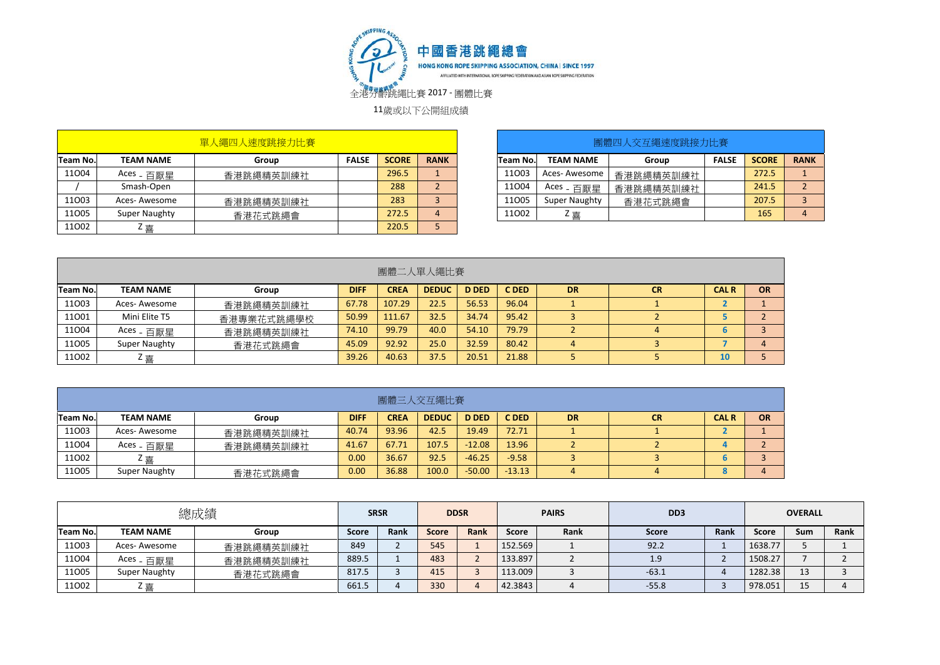

11歲或以下公開組成績

|          |                       | 單人繩四人速度跳接力比賽 |              |              |             |          |                       | 團體四人交互繩速度跳接力比賽 |              |              |             |
|----------|-----------------------|--------------|--------------|--------------|-------------|----------|-----------------------|----------------|--------------|--------------|-------------|
| Team No. | <b>TEAM NAME</b>      | Group        | <b>FALSE</b> | <b>SCORE</b> | <b>RANK</b> | Team No. | <b>TEAM NAME</b>      | Group          | <b>FALSE</b> | <b>SCORE</b> | <b>RANK</b> |
| 11004    | Aces <sub>-</sub> 百厭星 | 香港跳繩精英訓練社    |              | 296.5        |             | 11003    | Aces-Awesome          | 香港跳繩精英訓練社      |              | 272.5        |             |
|          | Smash-Open            |              |              | 288          |             | 11004    | Aces <sub>-</sub> 百厭星 | 香港跳繩精英訓練社      |              | 241.5        |             |
| 11003    | Aces-Awesome          | 香港跳繩精英訓練社    |              | 283          |             | 11005    | Super Naughty         | 香港花式跳繩會        |              | 207.5        |             |
| 11005    | Super Naughty         | 香港花式跳繩會      |              | 272.5        |             | 11002    | Ζ喜                    |                |              | 165          |             |
| 11002    | Ζ喜                    |              |              | 220.5        |             |          |                       |                |              |              |             |

| 單人繩四人速度跳接力比賽 |              |              |             |          |                       | 團體四人交互繩速度跳接力比賽 |              |              |             |
|--------------|--------------|--------------|-------------|----------|-----------------------|----------------|--------------|--------------|-------------|
| Group        | <b>FALSE</b> | <b>SCORE</b> | <b>RANK</b> | Team No. | <b>TEAM NAME</b>      | Group          | <b>FALSE</b> | <b>SCORE</b> | <b>RANK</b> |
| 香港跳繩精英訓練社    |              | 296.5        |             | 11003    | Aces- Awesome         | 香港跳繩精英訓練社      |              | 272.5        |             |
|              |              | 288          |             | 11004    | Aces <sub>-</sub> 百厭星 | 香港跳繩精英訓練社      |              | 241.5        |             |
| 香港跳繩精英訓練社    |              | 283          |             | 11005    | Super Naughty         | 香港花式跳繩會        |              | 207.5        |             |
| 香港花式跳繩會      |              | 272.5        | 4           | 11002    | Ζ喜                    |                |              | 165          |             |

|          | 團體二人單人繩比賽        |            |             |             |              |              |       |           |           |              |    |  |  |  |
|----------|------------------|------------|-------------|-------------|--------------|--------------|-------|-----------|-----------|--------------|----|--|--|--|
| Team No. | <b>TEAM NAME</b> | Group      | <b>DIFF</b> | <b>CREA</b> | <b>DEDUC</b> | <b>D DED</b> | C DED | <b>DR</b> | <b>CR</b> | <b>CAL R</b> | OR |  |  |  |
| 11003    | Aces-Awesome     | 香港跳繩精英訓練社  | 67.78       | 107.29      | 22.5         | 56.53        | 96.04 |           |           |              |    |  |  |  |
| 11001    | Mini Elite T5    | 香港專業花式跳繩學校 | 50.99       | 111.67      | 32.5         | 34.74        | 95.42 |           |           |              |    |  |  |  |
| 11004    | Aces - 百厭星       | 香港跳繩精英訓練社  | 74.10       | 99.79       | 40.0         | 54.10        | 79.79 |           |           | b            |    |  |  |  |
| 11005    | Super Naughty    | 香港花式跳繩會    | 45.09       | 92.92       | 25.0         | 32.59        | 80.42 | 4         |           |              | 4  |  |  |  |
| 11002    | Z喜               |            | 39.26       | 40.63       | 37.5         | 20.51        | 21.88 |           |           | 10           |    |  |  |  |

|          | 團體三人交互繩比賽                                                                                                                                               |           |       |       |       |          |          |  |  |   |   |  |  |  |
|----------|---------------------------------------------------------------------------------------------------------------------------------------------------------|-----------|-------|-------|-------|----------|----------|--|--|---|---|--|--|--|
| Team No. | <b>OR</b><br>C DED<br><b>CREA</b><br><b>D DED</b><br><b>CAL R</b><br><b>TEAM NAME</b><br><b>DIFF</b><br><b>DEDUC</b><br><b>DR</b><br><b>CR</b><br>Group |           |       |       |       |          |          |  |  |   |   |  |  |  |
| 11003    | Aces-Awesome                                                                                                                                            | 香港跳繩精英訓練社 | 40.74 | 93.96 | 42.5  | 19.49    | 72.71    |  |  |   |   |  |  |  |
| 11004    | Aces <sub>-</sub> 百厭星                                                                                                                                   | 香港跳繩精英訓練社 | 41.67 | 67.71 | 107.5 | $-12.08$ | 13.96    |  |  |   |   |  |  |  |
| 11002    | Ζ喜                                                                                                                                                      |           | 0.00  | 36.67 | 92.5  | $-46.25$ | $-9.58$  |  |  | b |   |  |  |  |
| 11005    | Super Naughty                                                                                                                                           | 香港花式跳繩會   | 0.00  | 36.88 | 100.0 | $-50.00$ | $-13.13$ |  |  | 8 | 4 |  |  |  |

|                 |                           | 總成績       | <b>SRSR</b>  |      |              | <b>DDSR</b> | <b>PAIRS</b> |      | D <sub>D</sub> 3 |      |         | <b>OVERALL</b> |      |
|-----------------|---------------------------|-----------|--------------|------|--------------|-------------|--------------|------|------------------|------|---------|----------------|------|
| <b>Team No.</b> | <b>TEAM NAME</b><br>Group |           | <b>Score</b> | Rank | <b>Score</b> | <b>Rank</b> | Score        | Rank | <b>Score</b>     | Rank | Score   | Sum            | Rank |
| 11003           | Aces-Awesome              | 香港跳繩精英訓練社 | 849          |      | 545          |             | 152.569      |      | 92.2             |      | 1638.77 |                |      |
| 11004           | Aces <sub>-</sub> 百厭星     | 香港跳繩精英訓練社 | 889.5        |      | 483          |             | 133.897      |      | 1.9              |      | 1508.27 |                |      |
| 11005           | Super Naughty             | 香港花式跳繩會   | 817.5        |      | 415          |             | 113.009      |      | $-63.1$          |      | 1282.38 | 13             |      |
| 11002           | Ζ喜                        |           | 661.5        |      | 330          |             | 42.3843      |      | $-55.8$          |      | 978.051 | 15             |      |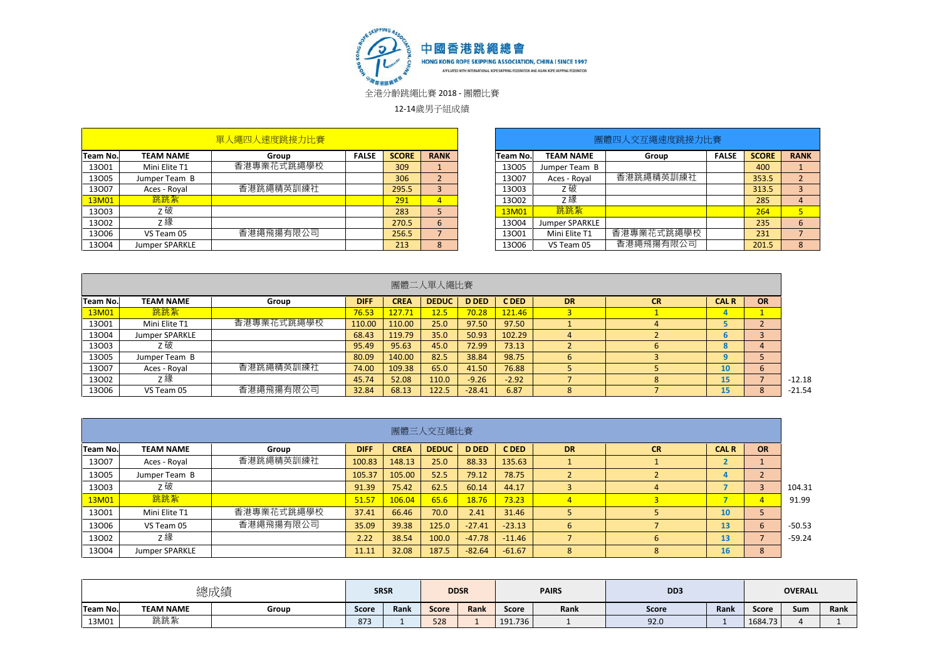

12-14歲男子組成績

|                 |                  | 單人繩四人速度跳接力比賽 |              |              |             |          |                  | 團體四人交互繩速度跳接力比賽 |              |              |             |
|-----------------|------------------|--------------|--------------|--------------|-------------|----------|------------------|----------------|--------------|--------------|-------------|
| <b>Team No.</b> | <b>TEAM NAME</b> | Group        | <b>FALSE</b> | <b>SCORE</b> | <b>RANK</b> | Team No. | <b>TEAM NAME</b> | Group          | <b>FALSE</b> | <b>SCORE</b> | <b>RANK</b> |
| 13001           | Mini Elite T1    | 香港專業花式跳繩學校   |              | 309          |             | 13005    | Jumper Team B    |                |              | 400          |             |
| 13005           | Jumper Team B    |              |              | 306          |             | 13007    | Aces - Royal     | 香港跳繩精英訓練社      |              | 353.5        |             |
| 13007           | Aces - Royal     | 香港跳繩精英訓練社    |              | 295.5        |             | 13003    | z 破              |                |              | 313.5        |             |
| 13M01           | 跳跳紮              |              |              | 291          |             | 13002    | Ζ緣               |                |              | 285          | 4           |
| 13003           | z破               |              |              | 283          |             | 13M01    | 跳跳紮              |                |              | 264          |             |
| 13002           | Ζ緣               |              |              | 270.5        | $\mathbf b$ | 13004    | Jumper SPARKLE   |                |              | 235          | 6           |
| 13006           | VS Team 05       | 香港繩飛揚有限公司    |              | 256.5        |             | 13001    | Mini Elite T1    | 香港專業花式跳繩學校     |              | 231          |             |
| 13004           | Jumper SPARKLE   |              |              | 213          | 8           | 13006    | VS Team 05       | 香港繩飛揚有限公司      |              | 201.5        | 8           |

| 單人繩四人速度跳接力比賽 |              |              |                |          |                  | 團體四人交互繩速度跳接力比賽 |              |              |                |
|--------------|--------------|--------------|----------------|----------|------------------|----------------|--------------|--------------|----------------|
| Group        | <b>FALSE</b> | <b>SCORE</b> | <b>RANK</b>    | Team No. | <b>TEAM NAME</b> | Group          | <b>FALSE</b> | <b>SCORE</b> | <b>RANK</b>    |
| 香港專業花式跳繩學校   |              | 309          |                | 13005    | Jumper Team B    |                |              | 400          |                |
|              |              | 306          |                | 13007    | Aces - Royal     | 香港跳繩精英訓練社      |              | 353.5        | C.<br>∠        |
| 香港跳繩精英訓練社    |              | 295.5        | 3              | 13003    | Z 破              |                |              | 313.5        | 3              |
|              |              | 291          | $\overline{4}$ | 13002    | z緣               |                |              | 285          | 4              |
|              |              | 283          |                | 13M01    | 跳跳紮              |                |              | 264          | 5 <sub>1</sub> |
|              |              | 270.5        | 6              | 13004    | Jumper SPARKLE   |                |              | 235          | 6              |
| 香港繩飛揚有限公司    |              | 256.5        |                | 13001    | Mini Elite T1    | 香港專業花式跳繩學校     |              | 231          |                |
|              |              | 213          |                | 13006    | VS Team 05       | 香港繩飛揚有限公司      |              | 201.5        | 8              |

|          |                  |            |             |             | 團體二人單人繩比賽    |              |         |           |           |              |            |          |
|----------|------------------|------------|-------------|-------------|--------------|--------------|---------|-----------|-----------|--------------|------------|----------|
| Team No. | <b>TEAM NAME</b> | Group      | <b>DIFF</b> | <b>CREA</b> | <b>DEDUC</b> | <b>D DED</b> | C DED   | <b>DR</b> | <b>CR</b> | <b>CAL R</b> | <b>OR</b>  |          |
| 13M01    | 跳跳紮              |            | 76.53       | 127.71      | 12.5         | 70.28        | 121.46  |           |           |              |            |          |
| 13001    | Mini Elite T1    | 香港專業花式跳繩學校 | 110.00      | 110.00      | 25.0         | 97.50        | 97.50   |           |           |              |            |          |
| 13004    | Jumper SPARKLE   |            | 68.43       | 119.79      | 35.0         | 50.93        | 102.29  |           |           |              |            |          |
| 13003    | z 破              |            | 95.49       | 95.63       | 45.0         | 72.99        | 73.13   |           |           |              |            |          |
| 13005    | Jumper Team B    |            | 80.09       | 140.00      | 82.5         | 38.84        | 98.75   |           |           |              |            |          |
| 13007    | Aces - Royal     | 香港跳繩精英訓練社  | 74.00       | 109.38      | 65.0         | 41.50        | 76.88   |           |           | 10           | $\epsilon$ |          |
| 13002    | z 緣              |            | 45.74       | 52.08       | 110.0        | $-9.26$      | $-2.92$ |           |           | 15           |            | $-12.18$ |
| 13006    | VS Team 05       | 香港繩飛揚有限公司  | 32.84       | 68.13       | 122.5        | $-28.41$     | 6.87    | 8         |           | 15           | 8          |          |

|          |                  |            |             |             | 團體三人交互繩比賽    |              |          |           |              |              |           |          |
|----------|------------------|------------|-------------|-------------|--------------|--------------|----------|-----------|--------------|--------------|-----------|----------|
| Team No. | <b>TEAM NAME</b> | Group      | <b>DIFF</b> | <b>CREA</b> | <b>DEDUC</b> | <b>D DED</b> | C DED    | <b>DR</b> | <b>CR</b>    | <b>CAL R</b> | <b>OR</b> |          |
| 13007    | Aces - Royal     | 香港跳繩精英訓練社  | 100.83      | 148.13      | 25.0         | 88.33        | 135.63   |           |              |              |           |          |
| 13005    | Jumper Team B    |            | 105.37      | 105.00      | 52.5         | 79.12        | 78.75    |           |              |              |           |          |
| 13003    | z破               |            | 91.39       | 75.42       | 62.5         | 60.14        | 44.17    |           | 4            |              |           | 104.31   |
| 13M01    | 跳跳紮              |            | 51.57       | 106.04      | 65.6         | 18.76        | 73.23    |           |              |              |           | 91.99    |
| 13001    | Mini Elite T1    | 香港專業花式跳繩學校 | 37.41       | 66.46       | 70.0         | 2.41         | 31.46    |           |              | 10           |           |          |
| 13006    | VS Team 05       | 香港繩飛揚有限公司  | 35.09       | 39.38       | 125.0        | $-27.41$     | $-23.13$ | 6         |              | 13           | 6         | $-50.53$ |
| 13002    | z緣               |            | 2.22        | 38.54       | 100.0        | $-47.78$     | $-11.46$ |           | $\mathbf{6}$ | 13           |           | $-59.24$ |
| 13004    | Jumper SPARKLE   |            | 11.11       | 32.08       | 187.5        | $-82.64$     | $-61.67$ | 8         | 8            | 16           | 8         |          |

|          |                  | 總成績   |              | <b>SRSR</b> |              | <b>DDSR</b> |         | <b>PAIRS</b> | DD3          |      |         | <b>OVERALL</b> |      |
|----------|------------------|-------|--------------|-------------|--------------|-------------|---------|--------------|--------------|------|---------|----------------|------|
| Team No. | <b>TEAM NAME</b> | Group | <b>Score</b> | Rank        | <b>Score</b> | Rank        | Score   | Rank         | <b>Score</b> | Rank | Score   | Sum            | Rank |
| 13M01    | 跳跳紮              |       | 873          |             | 528          |             | 191.736 |              | 92.0         |      | 1684.73 |                |      |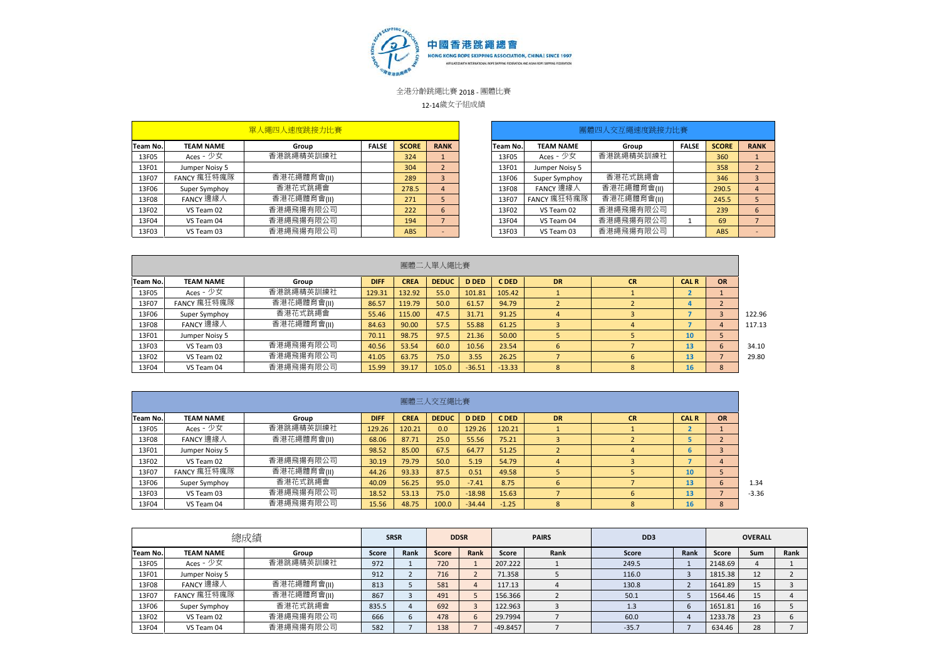

12-14歲女子組成績

|          |                  | 單人繩四人速度跳接力比賽 |              |              |             |          |                  | 團體四人交互繩速度跳接力比賽 |              |              |                          |
|----------|------------------|--------------|--------------|--------------|-------------|----------|------------------|----------------|--------------|--------------|--------------------------|
| Team No. | <b>TEAM NAME</b> | Group        | <b>FALSE</b> | <b>SCORE</b> | <b>RANK</b> | Team No. | <b>TEAM NAME</b> | Group          | <b>FALSE</b> | <b>SCORE</b> | <b>RANK</b>              |
| 13F05    | Aces - 少女        | 香港跳繩精英訓練社    |              | 324          |             | 13F05    | Aces - 少女        | 香港跳繩精英訓練社      |              | 360          |                          |
| 13F01    | Jumper Noisy 5   |              |              | 304          |             | 13F01    | Jumper Noisy 5   |                |              | 358          | ∠                        |
| 13F07    | FANCY 瘋狂特瘋隊      | 香港花繩體育會(II)  |              | 289          |             | 13F06    | Super Symphoy    | 香港花式跳繩會        |              | 346          |                          |
| 13F06    | Super Symphoy    | 香港花式跳繩會      |              | 278.5        | 4           | 13F08    | FANCY 邊緣人        | 香港花繩體育會(  )    |              | 290.5        | $\overline{4}$           |
| 13F08    | FANCY 邊緣人        | 香港花繩體育會(II)  |              | 271          |             | 13F07    | FANCY 瘋狂特瘋隊      | 香港花繩體育會(II)    |              | 245.5        |                          |
| 13F02    | VS Team 02       | 香港繩飛揚有限公司    |              | 222          | 6           | 13F02    | VS Team 02       | 香港繩飛揚有限公司      |              | 239          | 6                        |
| 13F04    | VS Team 04       | 香港繩飛揚有限公司    |              | 194          |             | 13F04    | VS Team 04       | 香港繩飛揚有限公司      |              | 69           |                          |
| 13F03    | VS Team 03       | 香港繩飛揚有限公司    |              | <b>ABS</b>   |             | 13F03    | VS Team 03       | 香港繩飛揚有限公司      |              | <b>ABS</b>   | $\overline{\phantom{0}}$ |

| 單人繩四人速度跳接力比賽 |              |              |                |          |                  | 團體四人交互繩速度跳接力比賽 |              |              |                          |
|--------------|--------------|--------------|----------------|----------|------------------|----------------|--------------|--------------|--------------------------|
| Group        | <b>FALSE</b> | <b>SCORE</b> | <b>RANK</b>    | Team No. | <b>TEAM NAME</b> | Group          | <b>FALSE</b> | <b>SCORE</b> | <b>RANK</b>              |
| 香港跳繩精英訓練社    |              | 324          |                | 13F05    | Aces - 少女        | 香港跳繩精英訓練社      |              | 360          |                          |
|              |              | 304          | $\overline{2}$ | 13F01    | Jumper Noisy 5   |                |              | 358          | $\overline{2}$           |
| 香港花繩體育會(II)  |              | 289          | 3              | 13F06    | Super Symphoy    | 香港花式跳繩會        |              | 346          | 3                        |
| 香港花式跳繩會      |              | 278.5        | $\overline{4}$ | 13F08    | FANCY 邊緣人        | 香港花繩體育會(II)    |              | 290.5        | 4                        |
| 香港花繩體育會(II)  |              | 271          | 5              | 13F07    | FANCY 瘋狂特瘋隊      | 香港花繩體育會(II)    |              | 245.5        | 5                        |
| 香港繩飛揚有限公司    |              | 222          | 6              | 13F02    | VS Team 02       | 香港繩飛揚有限公司      |              | 239          | 6                        |
| 香港繩飛揚有限公司    |              | 194          |                | 13F04    | VS Team 04       | 香港繩飛揚有限公司      |              | 69           |                          |
| 香港繩飛揚有限公司    |              | <b>ABS</b>   | -              | 13F03    | VS Team 03       | 香港繩飛揚有限公司      |              | <b>ABS</b>   | $\overline{\phantom{a}}$ |

|          |                  |             |             |             | 團體二人單人繩比賽    |              |          |                |           |              |                |        |
|----------|------------------|-------------|-------------|-------------|--------------|--------------|----------|----------------|-----------|--------------|----------------|--------|
| Team No. | <b>TEAM NAME</b> | Group       | <b>DIFF</b> | <b>CREA</b> | <b>DEDUC</b> | <b>D DED</b> | C DED    | <b>DR</b>      | <b>CR</b> | <b>CAL R</b> | <b>OR</b>      |        |
| 13F05    | Aces - 少女        | 香港跳繩精英訓練社   | 129.31      | 132.92      | 55.0         | 101.81       | 105.42   |                |           |              |                |        |
| 13F07    | FANCY 瘋狂特瘋隊      | 香港花繩體育會(II) | 86.57       | 119.79      | 50.0         | 61.57        | 94.79    |                |           |              |                |        |
| 13F06    | Super Symphoy    | 香港花式跳繩會     | 55.46       | 115.00      | 47.5         | 31.71        | 91.25    | $\overline{4}$ |           |              |                | 122.96 |
| 13F08    | FANCY 邊緣人        | 香港花繩體育會(II) | 84.63       | 90.00       | 57.5         | 55.88        | 61.25    |                |           |              | $\overline{a}$ | 117.13 |
| 13F01    | Jumper Noisy 5   |             | 70.11       | 98.75       | 97.5         | 21.36        | 50.00    |                |           | 10           |                |        |
| 13F03    | VS Team 03       | 香港繩飛揚有限公司   | 40.56       | 53.54       | 60.0         | 10.56        | 23.54    | 6              |           | 13           | $\mathbf{b}$   | 34.10  |
| 13F02    | VS Team 02       | 香港繩飛揚有限公司   | 41.05       | 63.75       | 75.0         | 3.55         | 26.25    |                | 6         | 13           |                | 29.80  |
| 13F04    | VS Team 04       | 香港繩飛揚有限公司   | 15.99       | 39.17       | 105.0        | $-36.51$     | $-13.33$ | 8              | 8         | 16           | 8              |        |

|          |                  |             |             |             | 團體三人交互繩比賽    |              |         |           |           |              |                  |  |
|----------|------------------|-------------|-------------|-------------|--------------|--------------|---------|-----------|-----------|--------------|------------------|--|
| Team No. | <b>TEAM NAME</b> | Group       | <b>DIFF</b> | <b>CREA</b> | <b>DEDUC</b> | <b>D DED</b> | C DED   | <b>DR</b> | <b>CR</b> | <b>CAL R</b> | <b>OR</b>        |  |
| 13F05    | Aces - 少女        | 香港跳繩精英訓練社   | 129.26      | 120.21      | 0.0          | 129.26       | 120.21  |           |           |              |                  |  |
| 13F08    | FANCY 邊緣人        | 香港花繩體育會(II) | 68.06       | 87.71       | 25.0         | 55.56        | 75.21   |           |           |              |                  |  |
| 13F01    | Jumper Noisy 5   |             | 98.52       | 85.00       | 67.5         | 64.77        | 51.25   |           | 4         | 6            |                  |  |
| 13F02    | VS Team 02       | 香港繩飛揚有限公司   | 30.19       | 79.79       | 50.0         | 5.19         | 54.79   | 4         |           |              | $\boldsymbol{a}$ |  |
| 13F07    | FANCY 瘋狂特瘋隊      | 香港花繩體育會(  ) | 44.26       | 93.33       | 87.5         | 0.51         | 49.58   |           |           | 10           |                  |  |
| 13F06    | Super Symphoy    | 香港花式跳繩會     | 40.09       | 56.25       | 95.0         | $-7.41$      | 8.75    | 6         |           | 13           | b                |  |
| 13F03    | VS Team 03       | 香港繩飛揚有限公司   | 18.52       | 53.13       | 75.0         | $-18.98$     | 15.63   |           | 6         | 13           |                  |  |
| 13F04    | VS Team 04       | 香港繩飛揚有限公司   | 15.56       | 48.75       | 100.0        | $-34.44$     | $-1.25$ | 8         | 8         | 16           | 8                |  |

|          |                  | 總成績         |       | <b>SRSR</b> |       | <b>DDSR</b>  |            | <b>PAIRS</b> | DD <sub>3</sub> |      |         | <b>OVERALL</b> |      |
|----------|------------------|-------------|-------|-------------|-------|--------------|------------|--------------|-----------------|------|---------|----------------|------|
| Team No. | <b>TEAM NAME</b> | Group       | Score | Rank        | Score | Rank         | Score      | Rank         | Score           | Rank | Score   | <b>Sum</b>     | Rank |
| 13F05    | Aces - 少女        | 香港跳繩精英訓練社   | 972   |             | 720   |              | 207.222    |              | 249.5           |      | 2148.69 |                |      |
| 13F01    | Jumper Noisy 5   |             | 912   |             | 716   |              | 71.358     |              | 116.0           |      | 1815.38 | 12             |      |
| 13F08    | FANCY 邊緣人        | 香港花繩體育會(II) | 813   |             | 581   |              | 117.13     |              | 130.8           |      | 1641.89 | 15             |      |
| 13F07    | FANCY 瘋狂特瘋隊      | 香港花繩體育會(II) | 867   |             | 491   |              | 156.366    |              | 50.1            |      | 1564.46 | 15             |      |
| 13F06    | Super Symphoy    | 香港花式跳繩會     | 835.5 |             | 692   |              | 122.963    |              | 1.3             |      | 1651.81 | 16             |      |
| 13F02    | VS Team 02       | 香港繩飛揚有限公司   | 666   |             | 478   | $\mathbf{b}$ | 29.7994    |              | 60.0            |      | 1233.78 | 23             |      |
| 13F04    | VS Team 04       | 香港繩飛揚有限公司   | 582   |             | 138   |              | $-49.8457$ |              | $-35.7$         |      | 634.46  | 28             |      |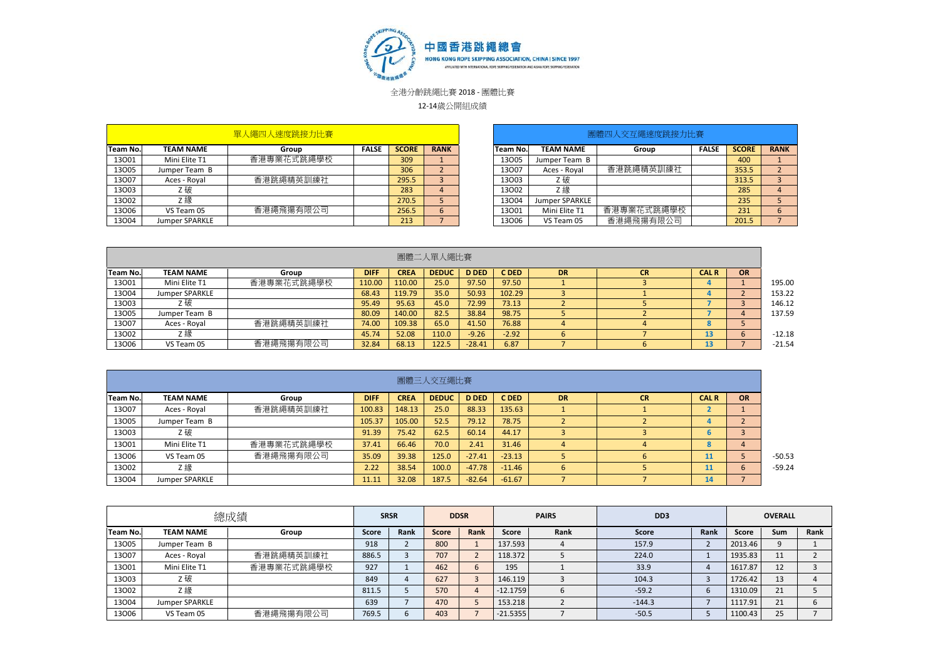

12-14歲公開組成績

|                 |                  | 軍人繩四人速度跳接力比賽 |              |              |             |          |                  | 團體四人交互繩速度跳接力比賽 |              |              |             |
|-----------------|------------------|--------------|--------------|--------------|-------------|----------|------------------|----------------|--------------|--------------|-------------|
| <b>Team No.</b> | <b>TEAM NAME</b> | Group        | <b>FALSE</b> | <b>SCORE</b> | <b>RANK</b> | Team No. | <b>TEAM NAME</b> | Group          | <b>FALSE</b> | <b>SCORE</b> | <b>RANK</b> |
| 13001           | Mini Elite T1    | 香港專業花式跳繩學校   |              | 309          |             | 13005    | Jumper Team B    |                |              | 400          |             |
| 13005           | Jumper Team B    |              |              | 306          |             | 13007    | Aces - Royal     | 香港跳繩精英訓練社      |              | 353.5        |             |
| 13007           | Aces - Royal     | 香港跳繩精英訓練社    |              | 295.5        |             | 13003    | Z 破              |                |              | 313.5        |             |
| 13003           | Z 破              |              |              | 283          |             | 13002    | Z 綠              |                |              | 285          | 4           |
| 13002           | Ζ 緑              |              |              | 270.5        |             | 13004    | Jumper SPARKLE   |                |              | 235          |             |
| 13006           | VS Team 05       | 香港繩飛揚有限公司    |              | 256.5        |             | 13001    | Mini Elite T1    | 香港專業花式跳繩學校     |              | 231          | b           |
| 13004           | Jumper SPARKLE   |              |              | 213          |             | 13006    | VS Team 05       | 香港繩飛揚有限公司      |              | 201.5        |             |

| 單人繩四人速度跳接力比賽 |              |              |             |           |                  | 團體四人交互繩速度跳接力比賽 |              |              |             |
|--------------|--------------|--------------|-------------|-----------|------------------|----------------|--------------|--------------|-------------|
| Group        | <b>FALSE</b> | <b>SCORE</b> | <b>RANK</b> | Team No.l | <b>TEAM NAME</b> | Group          | <b>FALSE</b> | <b>SCORE</b> | <b>RANK</b> |
| 香港專業花式跳繩學校   |              | 309          |             | 13005     | Jumper Team B    |                |              | 400          |             |
|              |              | 306          |             | 13007     | Aces - Royal     | 香港跳繩精英訓練社      |              | 353.5        |             |
| 香港跳繩精英訓練社    |              | 295.5        |             | 13003     | Z 破              |                |              | 313.5        |             |
|              |              | 283          | 4           | 13002     | Ζ繰               |                |              | 285          | 4           |
|              |              | 270.5        |             | 13004     | Jumper SPARKLE   |                |              | 235          |             |
| 香港繩飛揚有限公司    |              | 256.5        |             | 13001     | Mini Elite T1    | 香港專業花式跳繩學校     |              | 231          | 6           |
|              |              | 213          |             | 13006     | VS Team 05       | 香港繩飛揚有限公司      |              | 201.5        |             |

|          |                  |            |             |             | 團體二人單人繩比賽    |              |         |           |    |                 |           |          |
|----------|------------------|------------|-------------|-------------|--------------|--------------|---------|-----------|----|-----------------|-----------|----------|
| Team No. | <b>TEAM NAME</b> | Group      | <b>DIFF</b> | <b>CREA</b> | <b>DEDUC</b> | <b>D DED</b> | C DED   | <b>DR</b> | СR | <b>CAL R</b>    | <b>OR</b> |          |
| 13001    | Mini Elite T1    | 香港專業花式跳繩學校 | 110.00      | 110.00      | 25.0         | 97.50        | 97.50   |           |    |                 |           | 195.00   |
| 13004    | Jumper SPARKLE   |            | 68.43       | 119.79      | 35.0         | 50.93        | 102.29  |           |    |                 |           | 153.22   |
| 13003    | Z 破              |            | 95.49       | 95.63       | 45.0         | 72.99        | 73.13   |           |    |                 |           | 146.12   |
| 13005    | Jumper Team B    |            | 80.09       | 140.00      | 82.5         | 38.84        | 98.75   |           |    |                 |           | 137.59   |
| 13007    | Aces - Royal     | 香港跳繩精英訓練社  | 74.00       | 109.38      | 65.0         | 41.50        | 76.88   |           |    | e<br>$\sqrt{2}$ |           |          |
| 13002    | Ζ 緑              |            | 45.74       | 52.08       | 110.0        | $-9.26$      | $-2.92$ |           |    |                 |           | $-12.18$ |
| 13006    | VS Team 05       | 香港繩飛揚有限公司  | 32.84       | 68.13       | 122.5        | $-28.41$     | 6.87    |           |    |                 |           | $-21.54$ |

|          |                  |            |             |             | 團體三人交互繩比賽    |              |          |           |           |              |                |  |
|----------|------------------|------------|-------------|-------------|--------------|--------------|----------|-----------|-----------|--------------|----------------|--|
| Team No. | <b>TEAM NAME</b> | Group      | <b>DIFF</b> | <b>CREA</b> | <b>DEDUC</b> | <b>D DED</b> | C DED    | <b>DR</b> | <b>CR</b> | <b>CAL R</b> | <b>OR</b>      |  |
| 13007    | Aces - Royal     | 香港跳繩精英訓練社  | 100.83      | 148.13      | 25.0         | 88.33        | 135.63   |           |           |              |                |  |
| 13005    | Jumper Team B    |            | 105.37      | 105.00      | 52.5         | 79.12        | 78.75    |           |           |              |                |  |
| 13003    | Z破               |            | 91.39       | 75.42       | 62.5         | 60.14        | 44.17    |           |           |              |                |  |
| 13001    | Mini Elite T1    | 香港專業花式跳繩學校 | 37.41       | 66.46       | 70.0         | 2.41         | 31.46    |           |           | 8            |                |  |
| 13006    | VS Team 05       | 香港繩飛揚有限公司  | 35.09       | 39.38       | 125.0        | $-27.41$     | $-23.13$ |           |           | 11           |                |  |
| 13002    | Z 綠              |            | 2.22        | 38.54       | 100.0        | $-47.78$     | $-11.46$ | 6         |           | 11           | $\mathfrak{b}$ |  |
| 13004    | Jumper SPARKLE   |            | 11.11       | 32.08       | 187.5        | $-82.64$     | $-61.67$ |           |           | 14           |                |  |

|                 |                  | 總成績        |       | <b>SRSR</b> |       | <b>DDSR</b> |            | <b>PAIRS</b> | D <sub>D</sub> 3 |      |         | <b>OVERALL</b> |      |
|-----------------|------------------|------------|-------|-------------|-------|-------------|------------|--------------|------------------|------|---------|----------------|------|
| <b>Team No.</b> | <b>TEAM NAME</b> | Group      | Score | Rank        | Score | Rank        | Score      | Rank         | Score            | Rank | Score   | Sum            | Rank |
| 13005           | Jumper Team B    |            | 918   |             | 800   |             | 137.593    |              | 157.9            |      | 2013.46 |                |      |
| 13007           | Aces - Royal     | 香港跳繩精英訓練社  | 886.5 |             | 707   |             | 118.372    |              | 224.0            |      | 1935.83 | 11             |      |
| 13001           | Mini Elite T1    | 香港專業花式跳繩學校 | 927   |             | 462   |             | 195        |              | 33.9             | 4    | 1617.87 | 12             |      |
| 13003           | Z破               |            | 849   |             | 627   |             | 146.119    |              | 104.3            |      | 1726.42 | 13             |      |
| 13002           | Ζ緣               |            | 811.5 |             | 570   |             | $-12.1759$ |              | $-59.2$          | b    | 1310.09 | 21             |      |
| 13004           | Jumper SPARKLE   |            | 639   |             | 470   |             | 153.218    |              | $-144.3$         |      | 1117.91 | 21             |      |
| 13006           | VS Team 05       | 香港繩飛揚有限公司  | 769.5 |             | 403   |             | $-21.5355$ |              | $-50.5$          |      | 1100.43 | 25             |      |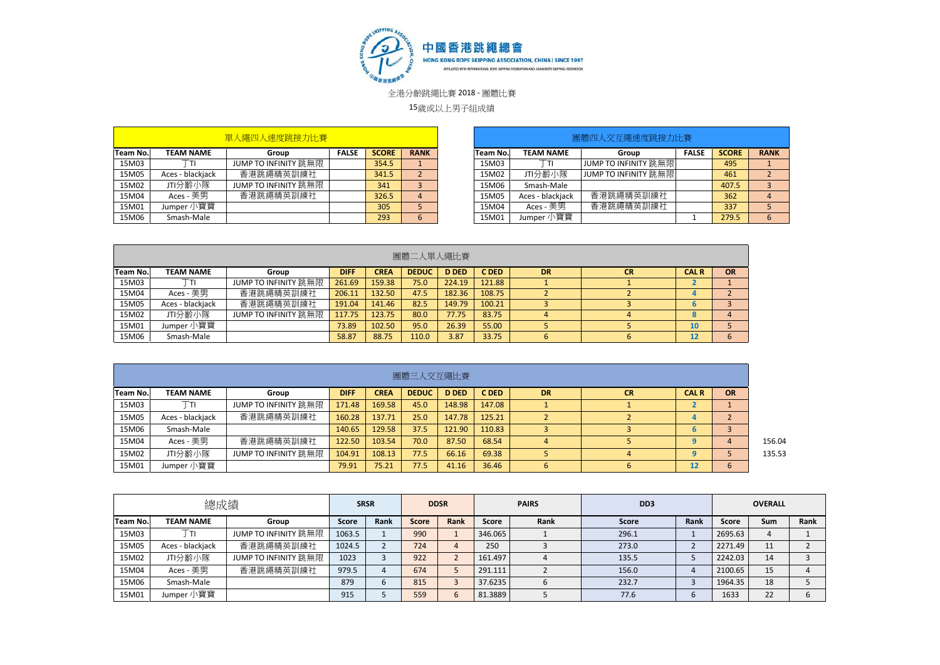

15歲或以上男子組成績

|          |                  | 單人繩四人速度跳接力比賽         |              |              |             |          |                  | 團體四人交互繩速度跳接力比賽              |              |              |             |
|----------|------------------|----------------------|--------------|--------------|-------------|----------|------------------|-----------------------------|--------------|--------------|-------------|
| Team No. | <b>TEAM NAME</b> | Group                | <b>FALSE</b> | <b>SCORE</b> | <b>RANK</b> | Team No. | <b>TEAM NAME</b> | Group                       | <b>FALSE</b> | <b>SCORE</b> | <b>RANK</b> |
| 15M03    |                  | JUMP TO INFINITY 跳無限 |              | 354.5        |             | 15M03    |                  | JUMP TO INFINITY 跳無限        |              | 495          |             |
| 15M05    | Aces - blackjack | 香港跳繩精英訓練社            |              | 341.5        |             | 15M02    | JTI分齡小隊          | <b>JUMP TO INFINITY 跳無限</b> |              | 461          |             |
| 15M02    | JTI分齢小隊          | JUMP TO INFINITY 跳無限 |              | 341          |             | 15M06    | Smash-Male       |                             |              | 407.5        |             |
| 15M04    | Aces - 美男        | 香港跳繩精英訓練社            |              | 326.5        |             | 15M05    | Aces - blackjack | 香港跳繩精英訓練社                   |              | 362          |             |
| 15M01    | Jumper 小寶寶       |                      |              | 305          |             | 15M04    | Aces - 美男        | 香港跳繩精英訓練社                   |              | 337          |             |
| 15M06    | Smash-Male       |                      |              | 293          |             | 15M01    | Jumper 小寶寶       |                             |              | 279.5        |             |

|                 |                  |                      |             |             | 團體二人單人繩比賽    |              |        |           |           |              |               |
|-----------------|------------------|----------------------|-------------|-------------|--------------|--------------|--------|-----------|-----------|--------------|---------------|
| <b>Team No.</b> | <b>TEAM NAME</b> | Group                | <b>DIFF</b> | <b>CREA</b> | <b>DEDUC</b> | <b>D DED</b> | C DED  | <b>DR</b> | <b>CR</b> | <b>CAL R</b> | <b>OR</b>     |
| 15M03           |                  | JUMP TO INFINITY 跳無限 | 261.69      | 159.38      | 75.0         | 224.19       | 121.88 |           |           |              |               |
| 15M04           | Aces - 美男        | 香港跳繩精英訓練社            | 206.11      | 132.50      | 47.5         | 182.36       | 108.75 |           |           |              |               |
| 15M05           | Aces - blackjack | 香港跳繩精英訓練社            | 191.04      | 141.46      | 82.5         | 149.79       | 100.21 |           |           | o            |               |
| 15M02           | JTI分齡小隊          | JUMP TO INFINITY 跳無限 | 117.75      | 123.75      | 80.0         | 77.75        | 83.75  |           |           | -8           |               |
| 15M01           | Jumper 小寶寶       |                      | 73.89       | 102.50      | 95.0         | 26.39        | 55.00  |           |           | 10           |               |
| 15M06           | Smash-Male       |                      | 58.87       | 88.75       | 110.0        | 3.87         | 33.75  |           |           | 12           | $\mathfrak b$ |

|          |                  |                      |             |             | 團體三人交互繩比賽    |              |        |           |                |              |           |
|----------|------------------|----------------------|-------------|-------------|--------------|--------------|--------|-----------|----------------|--------------|-----------|
| Team No. | <b>TEAM NAME</b> | Group                | <b>DIFF</b> | <b>CREA</b> | <b>DEDUC</b> | <b>D DED</b> | C DED  | <b>DR</b> | <b>CR</b>      | <b>CAL R</b> | <b>OR</b> |
| 15M03    | ⊤т⊩              | JUMP TO INFINITY 跳無限 | 171.48      | 169.58      | 45.0         | 148.98       | 147.08 |           |                |              |           |
| 15M05    | Aces - blackjack | 香港跳繩精英訓練社            | 160.28      | 137.71      | 25.0         | 147.78       | 125.21 |           |                |              |           |
| 15M06    | Smash-Male       |                      | 140.65      | 129.58      | 37.5         | 121.90       | 110.83 |           |                |              |           |
| 15M04    | Aces - 美男        | 香港跳繩精英訓練社            | 122.50      | 103.54      | 70.0         | 87.50        | 68.54  | 4         |                | 9            | 4         |
| 15M02    | JTI分齢小隊          | JUMP TO INFINITY 跳無限 | 104.91      | 108.13      | 77.5         | 66.16        | 69.38  |           | $\overline{a}$ | q            |           |
| 15M01    | Jumper 小寶寶       |                      | 79.91       | 75.21       | 77.5         | 41.16        | 36.46  | 6         | b.             | 12           | 6         |

|          | 總成績              |                      | <b>SRSR</b>  |      |              | <b>DDSR</b> |         | <b>PAIRS</b> | D <sub>D</sub> <sub>3</sub> |      |         | <b>OVERALL</b> |      |
|----------|------------------|----------------------|--------------|------|--------------|-------------|---------|--------------|-----------------------------|------|---------|----------------|------|
| Team No. | <b>TEAM NAME</b> | Group                | <b>Score</b> | Rank | <b>Score</b> | Rank        | Score   | Rank         | <b>Score</b>                | Rank | Score   | Sum            | Rank |
| 15M03    | Тті              | JUMP TO INFINITY 跳無限 | 1063.5       |      | 990          |             | 346.065 |              | 296.1                       |      | 2695.63 |                |      |
| 15M05    | Aces - blackjack | 香港跳繩精英訓練社            | 1024.5       |      | 724          |             | 250     |              | 273.0                       |      | 2271.49 | 11             |      |
| 15M02    | JTI分齡小隊          | JUMP TO INFINITY 跳無限 | 1023         |      | 922          |             | 161.497 |              | 135.5                       |      | 2242.03 | 14             |      |
| 15M04    | Aces - 美男        | 香港跳繩精英訓練社            | 979.5        |      | 674          |             | 291.111 |              | 156.0                       |      | 2100.65 | 15             |      |
| 15M06    | Smash-Male       |                      | 879          |      | 815          |             | 37.6235 | b            | 232.7                       |      | 1964.35 | 18             |      |
| 15M01    | Jumper 小寶寶       |                      | 915          |      | 559          |             | 81.3889 |              | 77.6                        |      | 1633    | 22             |      |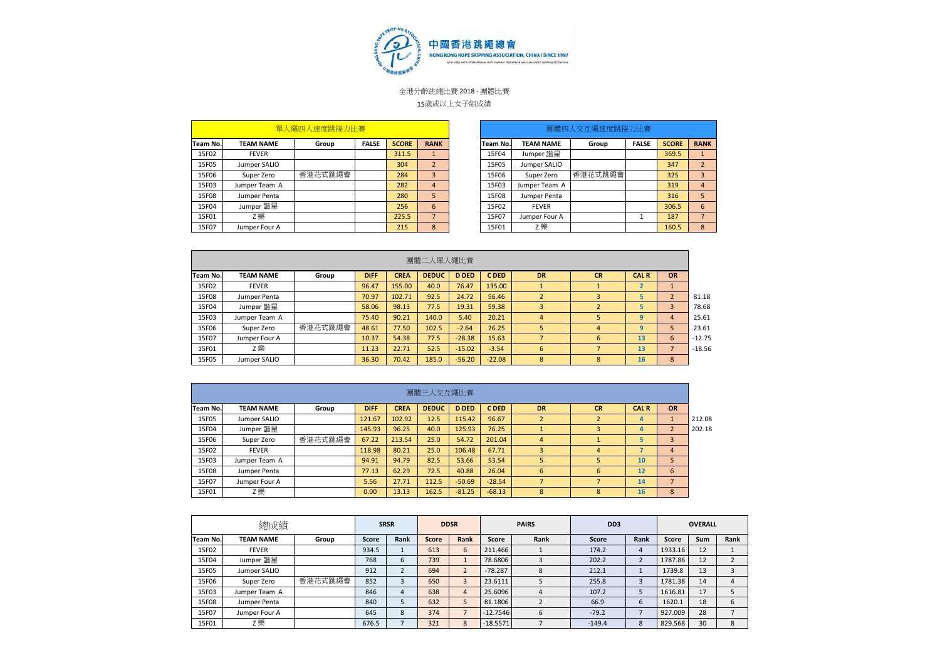

**F** 

全港分齡跳繩比賽 2018 - 團體比賽

## 15歲或以上女子組成績

|          |                  | 單人繩四人速度跳接力比賽 |              |              |             |          |                  | 團體四人交互繩速度跳接力比賽 |              |              |                |
|----------|------------------|--------------|--------------|--------------|-------------|----------|------------------|----------------|--------------|--------------|----------------|
| Team No. | <b>TEAM NAME</b> | Group        | <b>FALSE</b> | <b>SCORE</b> | <b>RANK</b> | Team No. | <b>TEAM NAME</b> | Group          | <b>FALSE</b> | <b>SCORE</b> | <b>RANK</b>    |
| 15F02    | <b>FEVER</b>     |              |              | 311.5        |             | 15F04    | Jumper 諧星        |                |              | 369.5        |                |
| 15F05    | Jumper SALIO     |              |              | 304          |             | 15F05    | Jumper SALIO     |                |              | 347          | $\overline{2}$ |
| 15F06    | Super Zero       | 香港花式跳繩會      |              | 284          |             | 15F06    | Super Zero       | 香港花式跳繩會        |              | 325          | 3              |
| 15F03    | Jumper Team A    |              |              | 282          | 4           | 15F03    | Jumper Team A    |                |              | 319          | 4              |
| 15F08    | Jumper Penta     |              |              | 280          |             | 15F08    | Jumper Penta     |                |              | 316          | 5              |
| 15F04    | Jumper 諧星        |              |              | 256          | 6           | 15F02    | <b>FEVER</b>     |                |              | 306.5        | 6              |
| 15F01    | Z 樂              |              |              | 225.5        |             | 15F07    | Jumper Four A    |                |              | 187          | ⇁              |
| 15F07    | Jumper Four A    |              |              | 215          | 8           | 15F01    | Z 樂              |                |              | 160.5        | 8              |

|                | 單人繩四人速度跳接力比賽 |              |              |                |          |                  | 團體四人交互繩速度跳接力比賽 |              |              |                |
|----------------|--------------|--------------|--------------|----------------|----------|------------------|----------------|--------------|--------------|----------------|
|                | Group        | <b>FALSE</b> | <b>SCORE</b> | <b>RANK</b>    | Team No. | <b>TEAM NAME</b> | Group          | <b>FALSE</b> | <b>SCORE</b> | <b>RANK</b>    |
|                |              |              | 311.5        | $\mathbf{1}$   | 15F04    | Jumper 諧星        |                |              | 369.5        | $\mathbf{1}$   |
|                |              |              | 304          | $\overline{2}$ | 15F05    | Jumper SALIO     |                |              | 347          | $\overline{2}$ |
|                | 香港花式跳繩會      |              | 284          | 3              | 15F06    | Super Zero       | 香港花式跳繩會        |              | 325          | 3              |
| $\overline{A}$ |              |              | 282          | $\overline{4}$ | 15F03    | Jumper Team A    |                |              | 319          | 4              |
| a              |              |              | 280          | 5              | 15F08    | Jumper Penta     |                |              | 316          | 5              |
|                |              |              | 256          | 6              | 15F02    | <b>FEVER</b>     |                |              | 306.5        | 6              |
|                |              |              | 225.5        | 7              | 15F07    | Jumper Four A    |                |              | 187          | $\overline{7}$ |
| А              |              |              | 215          | $\mathbf{8}$   | 15F01    | Z 樂              |                |              | 160.5        | 8              |

|          |                  |         |             |             | 團體二人單人繩比賽    |              |          |                          |                |             |           |          |
|----------|------------------|---------|-------------|-------------|--------------|--------------|----------|--------------------------|----------------|-------------|-----------|----------|
| Team No. | <b>TEAM NAME</b> | Group   | <b>DIFF</b> | <b>CREA</b> | <b>DEDUC</b> | <b>D DED</b> | C DED    | <b>DR</b>                | <b>CR</b>      | <b>CALR</b> | <b>OR</b> |          |
| 15F02    | <b>FEVER</b>     |         | 96.47       | 155.00      | 40.0         | 76.47        | 135.00   |                          |                |             |           |          |
| 15F08    | Jumper Penta     |         | 70.97       | 102.71      | 92.5         | 24.72        | 56.46    | $\overline{\phantom{0}}$ | 3              |             | $\sim$    | 81.18    |
| 15F04    | Jumper 諧星        |         | 58.06       | 98.13       | 77.5         | 19.31        | 59.38    | 3                        |                |             | 3         | 78.68    |
| 15F03    | Jumper Team A    |         | 75.40       | 90.21       | 140.0        | 5.40         | 20.21    | 4                        |                | q           | 4         | 25.61    |
| 15F06    | Super Zero       | 香港花式跳繩會 | 48.61       | 77.50       | 102.5        | $-2.64$      | 26.25    | 5                        | $\overline{4}$ | 9           | 5         | 23.61    |
| 15F07    | Jumper Four A    |         | 10.37       | 54.38       | 77.5         | $-28.38$     | 15.63    |                          | 6              | 13          | 6         | $-12.75$ |
| 15F01    | Z 樂              |         | 11.23       | 22.71       | 52.5         | $-15.02$     | $-3.54$  | 6                        |                | 13          |           | $-18.56$ |
| 15F05    | Jumper SALIO     |         | 36.30       | 70.42       | 185.0        | $-56.20$     | $-22.08$ | 8                        | 8              | 16          | 8         |          |

|          |                  |         |             |             | 團體三人交互繩比賽    |              |          |           |           |             |                |
|----------|------------------|---------|-------------|-------------|--------------|--------------|----------|-----------|-----------|-------------|----------------|
| Team No. | <b>TEAM NAME</b> | Group   | <b>DIFF</b> | <b>CREA</b> | <b>DEDUC</b> | <b>D DED</b> | C DED    | <b>DR</b> | <b>CR</b> | <b>CALR</b> | <b>OR</b>      |
| 15F05    | Jumper SALIO     |         | 121.67      | 102.92      | 12.5         | 115.42       | 96.67    | h<br>∠    |           | 4           |                |
| 15F04    | Jumper 諧星        |         | 145.93      | 96.25       | 40.0         | 125.93       | 76.25    |           | 3         | 4           |                |
| 15F06    | Super Zero       | 香港花式跳繩會 | 67.22       | 213.54      | 25.0         | 54.72        | 201.04   | 4         |           |             | 3              |
| 15F02    | <b>FEVER</b>     |         | 118.98      | 80.21       | 25.0         | 106.48       | 67.71    | 3         | 4         | -           | 4              |
| 15F03    | Jumper Team A    |         | 94.91       | 94.79       | 82.5         | 53.66        | 53.54    | 5         |           | 10          |                |
| 15F08    | Jumper Penta     |         | 77.13       | 62.29       | 72.5         | 40.88        | 26.04    | 6         | 6         | 12          | 6              |
| 15F07    | Jumper Four A    |         | 5.56        | 27.71       | 112.5        | $-50.69$     | $-28.54$ | ⇁         | ∍         | 14          | $\overline{7}$ |
| 15F01    | Z 樂              |         | 0.00        | 13.13       | 162.5        | $-81.25$     | $-68.13$ | 8         | 8         | 16          | 8              |

|                 | 總成績              |         |       | <b>SRSR</b> |              | <b>DDSR</b>    |            | <b>PAIRS</b> | D <sub>D</sub> <sub>3</sub> |      |         | <b>OVERALL</b> |      |
|-----------------|------------------|---------|-------|-------------|--------------|----------------|------------|--------------|-----------------------------|------|---------|----------------|------|
| <b>Team No.</b> | <b>TEAM NAME</b> | Group   | Score | Rank        | <b>Score</b> | Rank           | Score      | Rank         | Score                       | Rank | Score   | Sum            | Rank |
| 15F02           | <b>FEVER</b>     |         | 934.5 |             | 613          | 6              | 211.466    |              | 174.2                       | 4    | 1933.16 | 12             |      |
| 15F04           | Jumper 諧星        |         | 768   | 6           | 739          |                | 78.6806    |              | 202.2                       |      | 1787.86 | 12             | ∠    |
| 15F05           | Jumper SALIO     |         | 912   |             | 694          | $\overline{2}$ | $-78.287$  | 8            | 212.1                       |      | 1739.8  | 13             | 3    |
| 15F06           | Super Zero       | 香港花式跳繩會 | 852   |             | 650          |                | 23.6111    |              | 255.8                       |      | 1781.38 | 14             | 4    |
| 15F03           | Jumper Team A    |         | 846   | 4           | 638          | 4              | 25.6096    |              | 107.2                       |      | 1616.81 | 17             |      |
| 15F08           | Jumper Penta     |         | 840   |             | 632          |                | 81.1806    |              | 66.9                        | 6    | 1620.1  | 18             | 6    |
| 15F07           | Jumper Four A    |         | 645   | 8           | 374          |                | $-12.7546$ | 6            | $-79.2$                     |      | 927.009 | 28             | -    |
| 15F01           | Z樂               |         | 676.5 |             | 321          | 8              | $-18.5571$ |              | $-149.4$                    | 8    | 829.568 | 30             | 8    |